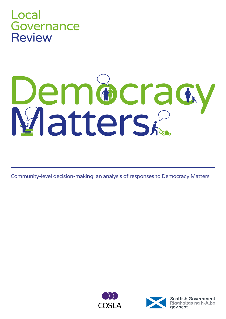

# **Dem®cracy**<br>Matters&

Community-level decision-making: an analysis of responses to Democracy Matters



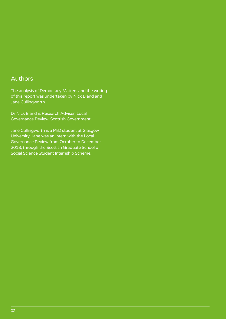#### Authors

The analysis of Democracy Matters and the writing of this report was undertaken by Nick Bland and Jane Cullingworth.

Dr Nick Bland is Research Adviser, Local Governance Review, Scottish Government.

Jane Cullingworth is a PhD student at Glasgow University. Jane was an intern with the Local Governance Review from October to December 2018, through the Scottish Graduate School of Social Science Student Internship Scheme.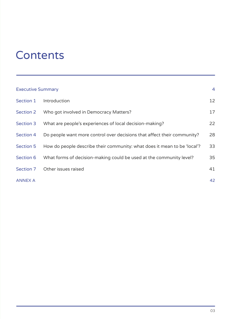# **Contents**

| <b>Executive Summary</b> |                                                                          |    |
|--------------------------|--------------------------------------------------------------------------|----|
| Section 1                | Introduction                                                             | 12 |
| <b>Section 2</b>         | Who got involved in Democracy Matters?                                   | 17 |
| Section 3                | What are people's experiences of local decision-making?                  | 22 |
| Section 4                | Do people want more control over decisions that affect their community?  | 28 |
| <b>Section 5</b>         | How do people describe their community: what does it mean to be 'local'? | 33 |
| Section 6                | What forms of decision-making could be used at the community level?      | 35 |
| Section 7                | Other issues raised                                                      | 41 |
| <b>ANNEX A</b>           |                                                                          | 42 |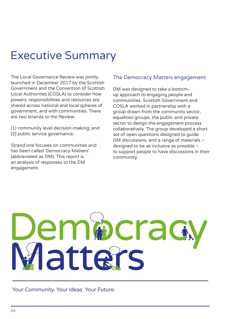# Executive Summary

The Local Governance Review was jointly launched in December 2017 by the Scottish Government and the Convention of Scottish Local Authorities (COSLA) to consider how powers, responsibilities and resources are shared across national and local spheres of government, and with communities. There are two strands to the Review:

(1) community level decision-making; and (2) public service governance.

Strand one focuses on communities and has been called 'Democracy Matters' (abbreviated as DM). This report is an analysis of responses to the DM engagement.

#### The Democracy Matters engagement

DM was designed to take a bottomup approach to engaging people and communities. Scottish Government and COSLA worked in partnership with a group drawn from the community sector, equalities groups, the public and private sector to design the engagement process collaboratively. The group developed a short set of open questions designed to guide DM discussions, and a range of materials – designed to be as inclusive as possible – to support people to have discussions in their community.

# emperag latters

Your Community. Your Ideas. Your Future.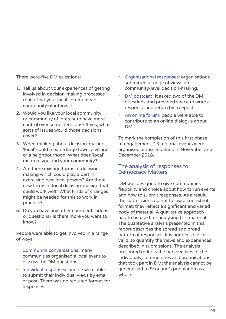There were five DM questions:

- 1. Tell us about your experiences of getting involved in decision-making processes that affect your local community or community of interest?
- 2. Would you like your local community or community of interest to have more control over some decisions? If yes, what sorts of issues would those decisions cover?
- 3. When thinking about decision-making, 'local' could mean a large town, a village, or a neighbourhood. What does 'local' mean to you and your community?
- 4. Are there existing forms of decisionmaking which could play a part in exercising new local powers? Are there new forms of local decision-making that could work well? What kinds of changes might be needed for this to work in practice?
- 5. Do you have any other comments, ideas or questions? Is there more you want to know?

People were able to get involved in a range of ways:

- Community conversations: many communities organised a local event to discuss the DM questions.
- Individual responses: people were able to submit their individual views by email or post. There was no required format for responses.
- Organisational responses: organisations submitted a range of views on community-level decision-making.
- DM postcard: it asked two of the DM questions and provided space to write a response and return by freepost.
- An online forum: people were able to contribute to an online dialogue about DM.

To mark the completion of this first phase of engagement, 13 regional events were organised across Scotland in November and December 2018.

#### The analysis of responses to Democracy Matters

DM was designed to give communities flexibility and choice about how to run events and how to submit responses. As a result, the submissions do not follow a consistent format; they reflect a significant and varied body of material. A qualitative approach had to be used for analysing this material. The qualitative analysis presented in this report describes the spread and broad pattern of responses. It is not possible, or valid, to quantify the views and experiences described in submissions. The analysis presented reflects the perspectives of the individuals, communities and organisations that took part in DM; the analysis cannot be generalised to Scotland's population as a whole.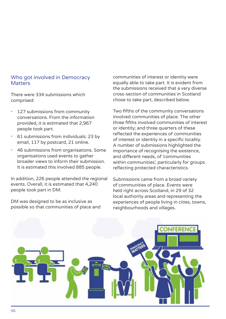#### Who got involved in Democracy **Matters**

There were 334 submissions which comprised:

- 127 submissions from community conversations. From the information provided, it is estimated that 2,967 people took part.
- 61 submissions from individuals: 23 by email, 117 by postcard, 21 online.
- 46 submissions from organisations. Some organisations used events to gather broader views to inform their submission. It is estimated this involved 885 people.

In addition, 226 people attended the regional events. Overall, it is estimated that 4,240 people took part in DM.

DM was designed to be as inclusive as possible so that communities of place and communities of interest or identity were equally able to take part. It is evident from the submissions received that a very diverse cross-section of communities in Scotland chose to take part, described below.

Two fifths of the community conversations involved communities of place. The other three fifths involved communities of interest or identity; and three quarters of these reflected the experiences of communities of interest or identity in a specific locality. A number of submissions highlighted the importance of recognising the existence, and different needs, of 'communities within communities', particularly for groups reflecting protected characteristics.

Submissions came from a broad variety of communities of place. Events were held right across Scotland, in 29 of 32 local authority areas and representing the experiences of people living in cities, towns, neighbourhoods and villages.

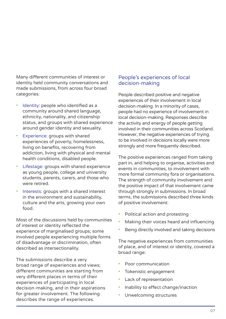Many different communities of interest or identity held community conversations and made submissions, from across four broad categories:

- Identity: people who identified as a community around shared language, ethnicity, nationality, and citizenship status, and groups with shared experience around gender identity and sexuality.
- Experience: groups with shared experiences of poverty, homelessness, living on benefits, recovering from addiction, living with physical and mental health conditions, disabled people.
- Lifestage: groups with shared experience as young people, college and university students, parents, carers, and those who were retired.
- Interests: groups with a shared interest in the environment and sustainability, culture and the arts, growing your own food.

Most of the discussions held by communities of interest or identity reflected the experience of marginalised groups; some involved people experiencing multiple forms of disadvantage or discrimination, often described as intersectionality.

The submissions describe a very broad range of experiences and views; different communities are starting from very different places in terms of their experiences of participating in local decision-making, and in their aspirations for greater involvement. The following describes the range of experiences.

#### People's experiences of local decision-making

People described positive and negative experiences of their involvement in local decision-making. In a minority of cases, people had no experience of involvement in local decision-making. Responses describe the activity and energy of people getting involved in their communities across Scotland. However, the negative experiences of trying to be involved in decisions locally were more strongly and more frequently described.

The positive experiences ranged from taking part in, and helping to organise, activities and events in communities, to involvement with more formal community fora or organisations. The strength of community involvement and the positive impact of that involvement came through strongly in submissions. In broad terms, the submissions described three kinds of positive involvement:

- Political action and protesting
- Making their voices heard and influencing
- Being directly involved and taking decisions

The negative experiences from communities of place, and of interest or identity, covered a broad range:

- Poor communication
- Tokenistic engagement
- Lack of representation
- Inability to effect change/inaction
- Unwelcoming structures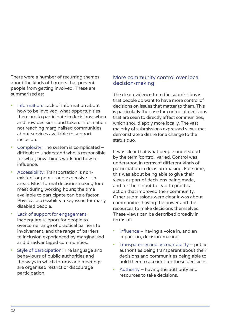There were a number of recurring themes about the kinds of barriers that prevent people from getting involved. These are summarised as:

- Information: Lack of information about how to be involved, what opportunities there are to participate in decisions; where and how decisions and taken. Information not reaching marginalised communities about services available to support inclusion.
- Complexity: The system is complicated difficult to understand who is responsible for what, how things work and how to influence.
- Accessibility: Transportation is nonexistent or poor – and expensive – in areas. Most formal decision-making fora meet during working hours; the time available to participate can be a factor. Physical accessibility a key issue for many disabled people.
- Lack of support for engagement: inadequate support for people to overcome range of practical barriers to involvement, and the range of barriers to inclusion experienced by marginalised and disadvantaged communities.
- Style of participation: The language and behaviours of public authorities and the ways in which forums and meetings are organised restrict or discourage participation.

#### More community control over local decision-making

The clear evidence from the submissions is that people do want to have more control of decisions on issues that matter to them. This is particularly the case for control of decisions that are seen to directly affect communities, which should apply more locally. The vast majority of submissions expressed views that demonstrate a desire for a change to the status quo.

It was clear that what people understood by the term 'control' varied. Control was understood in terms of different kinds of participation in decision-making. For some, this was about being able to give their views as part of decisions being made, and for their input to lead to practical action that improved their community. Other submissions were clear it was about communities having the power and the resources to make decisions themselves. These views can be described broadly in terms of:

- Influence having a voice in, and an impact on, decision-making.
- Transparency and accountability public authorities being transparent about their decisions and communities being able to hold them to account for those decisions.
- Authority having the authority and resources to take decisions.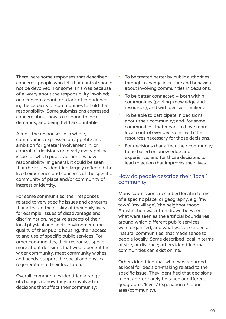There were some responses that described concerns; people who felt that control should not be devolved. For some, this was because of a worry about the responsibility involved; or a concern about, or a lack of confidence in, the capacity of communities to hold that responsibility. Some submissions expressed concern about how to respond to local demands, and being held accountable.

Across the responses as a whole, communities expressed an appetite and ambition for greater involvement in, or control of, decisions on nearly every policy issue for which public authorities have responsibility. In general, it could be seen that the issues identified largely reflected the lived experience and concerns of the specific community of place and/or community of interest or identity.

For some communities, their responses related to very specific issues and concerns that affected the quality of their daily lives for example, issues of disadvantage and discrimination, negative aspects of their local physical and social environment, the quality of their public housing, their access to and use of specific public services. For other communities, their responses spoke more about decisions that would benefit the wider community, meet community wishes and needs, support the social and physical regeneration of their local area.

Overall, communities identified a range of changes to how they are involved in decisions that affect their community:

- To be treated better by public authorities  $$ through a change in culture and behaviour about involving communities in decisions.
- To be better connected both within communities (pooling knowledge and resources); and with decision-makers.
- To be able to participate in decisions about their community; and, for some communities, that meant to have more local control over decisions, with the resources necessary for those decisions.
- For decisions that affect their community to be based on knowledge and experience, and for those decisions to lead to action that improves their lives.

#### How do people describe their 'local' community

Many submissions described local in terms of a specific place, or geography, e.g. 'my town', 'my village', 'the neighbourhood'. A distinction was often drawn between what were seen as the artificial boundaries around which different public services were organised, and what was described as 'natural communities' that made sense to people locally. Some described local in terms of size, or distance; others identified that communities can exist online.

Others identified that what was regarded as local for decision-making related to the specific issue. They identified that decisions might appropriately be taken at different geographic 'levels' (e.g. national/council area/community).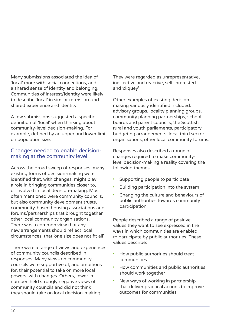Many submissions associated the idea of 'local' more with social connections, and a shared sense of identity and belonging. Communities of interest/identity were likely to describe 'local' in similar terms, around shared experience and identity.

A few submissions suggested a specific definition of 'local' when thinking about community-level decision-making. For example, defined by an upper and lower limit on population size.

#### Changes needed to enable decisionmaking at the community level

Across the broad sweep of responses, many existing forms of decision-making were identified that, with changes, might play a role in bringing communities closer to, or involved in local decision-making. Most often mentioned were community councils, but also community development trusts, community-based housing associations and forums/partnerships that brought together other local community organisations. There was a common view that any new arrangements should reflect local circumstances; that 'one size does not fit all'.

There were a range of views and experiences of community councils described in responses. Many views on community councils were supportive of, and ambitious for, their potential to take on more local powers, with changes. Others, fewer in number, held strongly negative views of community councils and did not think they should take on local decision-making.

They were regarded as unrepresentative, ineffective and reactive, self-interested and 'cliquey'.

Other examples of existing decisionmaking variously identified included: advisory groups, locality planning groups, community planning partnerships, school boards and parent councils, the Scottish rural and youth parliaments, participatory budgeting arrangements, local third sector organisations, other local community forums.

Responses also described a range of changes required to make communitylevel decision-making a reality covering the following themes:

- Supporting people to participate
- Building participation into the system
- Changing the culture and behaviours of public authorities towards community participation

People described a range of positive values they want to see expressed in the ways in which communities are enabled to participate by public authorities. These values describe:

- How public authorities should treat communities
- How communities and public authorities should work together
- New ways of working in partnership that deliver practical actions to improve outcomes for communities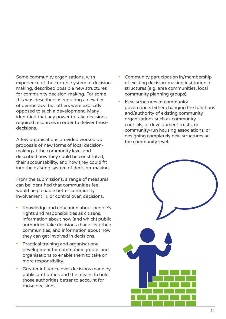Some community organisations, with experience of the current system of decisionmaking, described possible new structures for community decision-making. For some this was described as requiring a new tier of democracy; but others were explicitly opposed to such a development. Many identified that any power to take decisions required resources in order to deliver those decisions.

A few organisations provided worked up proposals of new forms of local decisionmaking at the community level and described how they could be constituted, their accountability, and how they could fit into the existing system of decision-making.

From the submissions, a range of measures can be identified that communities feel would help enable better community involvement in, or control over, decisions.

- Knowledge and education about people's rights and responsibilities as citizens, information about how (and which) public authorities take decisions that affect their communities, and information about how they can get involved in decisions.
- Practical training and organisational development for community groups and organisations to enable them to take on more responsibility.
- Greater influence over decisions made by public authorities and the means to hold those authorities better to account for those decisions.
- Community participation in/membership of existing decision-making institutions/ structures (e.g. area communities, local community planning groups).
- New structures of community governance: either changing the functions and/authority of existing community organisations such as community councils, or development trusts, or community-run housing associations; or designing completely new structures at the community level.

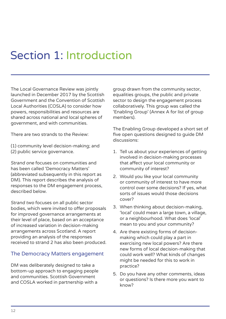# Section 1: Introduction

The Local Governance Review was jointly launched in December 2017 by the Scottish Government and the Convention of Scottish Local Authorities (COSLA) to consider how powers, responsibilities and resources are shared across national and local spheres of government, and with communities.

There are two strands to the Review:

(1) community level decision-making; and (2) public service governance.

Strand one focuses on communities and has been called 'Democracy Matters' (abbreviated subsequently in this report as DM). This report describes the analysis of responses to the DM engagement process, described below.

Strand two focuses on all public sector bodies, which were invited to offer proposals for improved governance arrangements at their level of place, based on an acceptance of increased variation in decision-making arrangements across Scotland. A report providing an analysis of the responses received to strand 2 has also been produced.

#### The Democracy Matters engagement

DM was deliberately designed to take a bottom-up approach to engaging people and communities. Scottish Government and COSLA worked in partnership with a

group drawn from the community sector, equalities groups, the public and private sector to design the engagement process collaboratively. This group was called the 'Enabling Group' (Annex A for list of group members).

The Enabling Group developed a short set of five open questions designed to guide DM discussions:

- 1. Tell us about your experiences of getting involved in decision-making processes that affect your local community or community of interest?
- 2. Would you like your local community or community of interest to have more control over some decisions? If yes, what sorts of issues would those decisions cover?
- 3. When thinking about decision-making, 'local' could mean a large town, a village, or a neighbourhood. What does 'local' mean to you and your community?
- 4. Are there existing forms of decisionmaking which could play a part in exercising new local powers? Are there new forms of local decision-making that could work well? What kinds of changes might be needed for this to work in practice?
- 5. Do you have any other comments, ideas or questions? Is there more you want to know?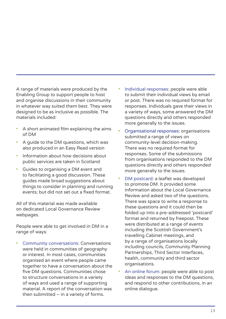A range of materials were produced by the Enabling Group to support people to host and organise discussions in their community in whatever way suited them best. They were designed to be as inclusive as possible. The materials included:

- A short animated film explaining the aims of DM
- A guide to the DM questions, which was also produced in an Easy Read version
- Information about how decisions about public services are taken in Scotland
- Guides to organising a DM event and to facilitating a good discussion. These guides made broad suggestions about things to consider in planning and running events; but did not set out a fixed format.

All of this material was made available on dedicated Local Governance Review webpages.

People were able to get involved in DM in a range of ways:

• Community conversations: Conversations were held in communities of geography or interest. In most cases, communities organised an event where people came together to have a conversation about the five DM questions. Communities chose to structure conversations in a variety of ways and used a range of supporting material. A report of the conversation was then submitted – in a variety of forms.

- Individual responses: people were able to submit their individual views by email or post. There was no required format for responses. Individuals gave their views in a variety of ways, some answered the DM questions directly and others responded more generally to the issues.
- Organisational responses: organisations submitted a range of views on community-level decision-making. There was no required format for responses. Some of the submissions from organisations responded to the DM questions directly and others responded more generally to the issues.
- DM postcard: a leaflet was developed to promote DM. It provided some information about the Local Governance Review and asked two of the questions. There was space to write a response to these questions and it could then be folded up into a pre-addressed 'postcard' format and returned by freepost. These were distributed at a range of events including the Scottish Government's travelling Cabinet meetings, and by a range of organisations locally including councils, Community Planning Partnerships, Third Sector Interfaces, health, community and third sector organisations.
- An online forum: people were able to post ideas and responses to the DM questions, and respond to other contributions, in an online dialogue.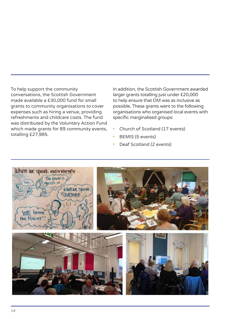To help support the community conversations, the Scottish Government made available a £30,000 fund for small grants to community organisations to cover expenses such as hiring a venue, providing refreshments and childcare costs. The fund was distributed by the Voluntary Action Fund which made grants for 89 community events, totalling £27,985.

In addition, the Scottish Government awarded larger grants totalling just under £20,000 to help ensure that DM was as inclusive as possible. These grants went to the following organisations who organised local events with specific marginalised groups:

- Church of Scotland (17 events)
- BEMIS (5 events)
- Deaf Scotland (2 events)

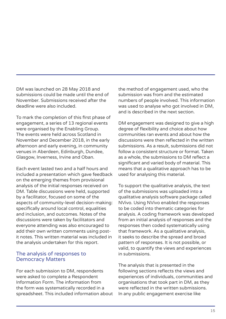DM was launched on 28 May 2018 and submissions could be made until the end of November. Submissions received after the deadline were also included.

To mark the completion of this first phase of engagement, a series of 13 regional events were organised by the Enabling Group. The events were held across Scotland in November and December 2018, in the early afternoon and early evening, in community venues in Aberdeen, Edinburgh, Dundee, Glasgow, Inverness, Irvine and Oban.

Each event lasted two and a half hours and included a presentation which gave feedback on the emerging themes from provisional analysis of the initial responses received on DM. Table discussions were held, supported by a facilitator, focused on some of the aspects of community-level decision-making: specifically around local control, equalities and inclusion, and outcomes. Notes of the discussions were taken by facilitators and everyone attending was also encouraged to add their own written comments using postit notes. This written material was included in the analysis undertaken for this report.

#### The analysis of responses to Democracy Matters

For each submission to DM, respondents were asked to complete a Respondent Information Form. The information from the form was systematically recorded in a spreadsheet. This included information about the method of engagement used, who the submission was from and the estimated numbers of people involved. This information was used to analyse who got involved in DM, and is described in the next section.

DM engagement was designed to give a high degree of flexibility and choice about how communities ran events and about how the discussions were then reflected in the written submissions. As a result, submissions did not follow a consistent structure or format. Taken as a whole, the submissions to DM reflect a significant and varied body of material. This means that a qualitative approach has to be used for analysing this material.

To support the qualitative analysis, the text of the submissions was uploaded into a qualitative analysis software package called NVivo. Using NVivo enabled the responses to be coded into thematic categories for analysis. A coding framework was developed from an initial analysis of responses and the responses then coded systematically using that framework. As a qualitative analysis, it seeks to describe the spread and broad pattern of responses. It is not possible, or valid, to quantify the views and experiences in submissions.

The analysis that is presented in the following sections reflects the views and experiences of individuals, communities and organisations that took part in DM, as they were reflected in the written submissions. In any public engagement exercise like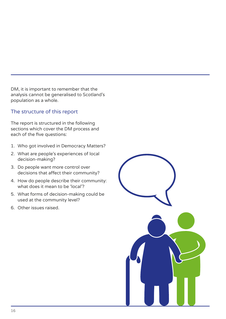DM, it is important to remember that the analysis cannot be generalised to Scotland's population as a whole.

#### The structure of this report

The report is structured in the following sections which cover the DM process and each of the five questions:

- 1. Who got involved in Democracy Matters?
- 2. What are people's experiences of local decision-making?
- 3. Do people want more control over decisions that affect their community?
- 4. How do people describe their community: what does it mean to be 'local'?
- 5. What forms of decision-making could be used at the community level?
- 6. Other issues raised.

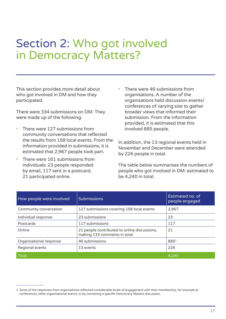# Section 2: Who got involved in Democracy Matters?

This section provides more detail about who got involved in DM and how they participated.

There were 334 submissions on DM. They were made up of the following:

- There were 127 submissions from community conversations that reflected the results from 158 local events. From the information provided in submissions, it is estimated that 2,967 people took part.
- There were 161 submissions from individuals: 23 people responded by email, 117 sent in a postcard, 21 participated online.

There were 46 submissions from organisations. A number of the organisations held discussion events/ conferences of varying size to gather broader views that informed their submission. From the information provided, it is estimated that this involved 885 people.

In addition, the 13 regional events held in November and December were attended by 226 people in total.

The table below summarises the numbers of people who got involved in DM: estimated to be 4,240 in total.

| How people were involved | <b>Submissions</b>                                                           | Estimated no. of<br>people engaged |
|--------------------------|------------------------------------------------------------------------------|------------------------------------|
| Community conversation   | 127 submissions covering 158 local events                                    | 2,967                              |
| Individual response      | 23 submissions                                                               | 23                                 |
| Postcards                | 117 submissions                                                              | 117                                |
| Online                   | 21 people contributed to online discussions,<br>making 133 comments in total | 21                                 |
| Organisational response  | 46 submissions                                                               | $885^{1}$                          |
| Regional events          | 13 events                                                                    | 226                                |
| <b>Total</b>             |                                                                              | 4.240                              |

<sup>1</sup> Some of the responses from organisations reflected considerable levels of engagement with their membership, for example at conferences, other organisational events, or by convening a specific Democracy Matters discussion.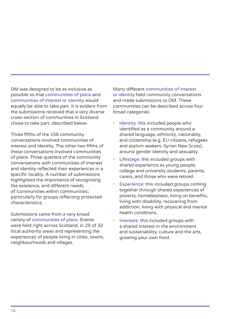DM was designed to be as inclusive as possible so that communities of place and communities of interest or identity would equally be able to take part. It is evident from the submissions received that a very diverse cross-section of communities in Scotland chose to take part, described below.

Three fifths of the 158 community conversations involved communities of interest and identity. The other two fifths of these conversations involved communities of place. Three quarters of the community conversations with communities of interest and identity reflected their experiences in a specific locality. A number of submissions highlighted the importance of recognising the existence, and different needs, of 'communities within communities', particularly for groups reflecting protected characteristics.

Submissions came from a very broad variety of communities of place. Events were held right across Scotland, in 29 of 32 local authority areas and representing the experiences of people living in cities, towns, neighbourhoods and villages.

Many different communities of interest or identity held community conversations and made submissions to DM. These communities can be described across four broad categories:

- Identity: this included people who identified as a community around a shared language, ethnicity, nationality, and citizenship (e.g. EU citizens, refugees and asylum seekers, Syrian New Scots), around gender identity and sexuality.
- Lifestage: this included groups with shared experience as young people, college and university students, parents, carers, and those who were retired.
- Experience: this included groups coming together through shared experiences of poverty, homelessness, living on benefits, living with disability, recovering from addiction, living with physical and mental health conditions.
- Interests: this included groups with a shared interest in the environment and sustainability, culture and the arts, growing your own food.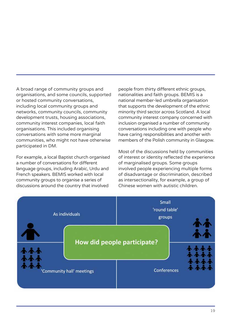A broad range of community groups and organisations, and some councils, supported or hosted community conversations, including local community groups and networks, community councils, community development trusts, housing associations, community interest companies, local faith organisations. This included organising conversations with some more marginal communities, who might not have otherwise participated in DM.

For example, a local Baptist church organised a number of conversations for different language groups, including Arabic, Urdu and French speakers. BEMIS worked with local community groups to organise a series of discussions around the country that involved

people from thirty different ethnic groups, nationalities and faith groups. BEMIS is a national member-led umbrella organisation that supports the development of the ethnic minority third sector across Scotland. A local community interest company concerned with inclusion organised a number of community conversations including one with people who have caring responsibilities and another with members of the Polish community in Glasgow.

Most of the discussions held by communities of interest or identity reflected the experience of marginalised groups. Some groups involved people experiencing multiple forms of disadvantage or discrimination, described as intersectionality, for example, a group of Chinese women with autistic children.

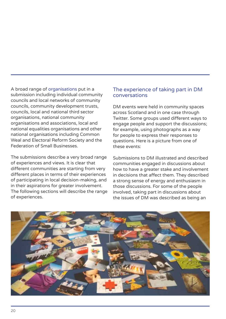A broad range of organisations put in a submission including individual community councils and local networks of community councils, community development trusts, councils, local and national third sector organisations, national community organisations and associations, local and national equalities organisations and other national organisations including Common Weal and Electoral Reform Society and the Federation of Small Businesses.

The submissions describe a very broad range of experiences and views. It is clear that different communities are starting from very different places in terms of their experiences of participating in local decision-making, and in their aspirations for greater involvement. The following sections will describe the range of experiences.

#### The experience of taking part in DM conversations

DM events were held in community spaces across Scotland and in one case through Twitter. Some groups used different ways to engage people and support the discussions; for example, using photographs as a way for people to express their responses to questions. Here is a picture from one of these events:

Submissions to DM illustrated and described communities engaged in discussions about how to have a greater stake and involvement in decisions that affect them. They described a strong sense of energy and enthusiasm in those discussions. For some of the people involved, taking part in discussions about the issues of DM was described as being an

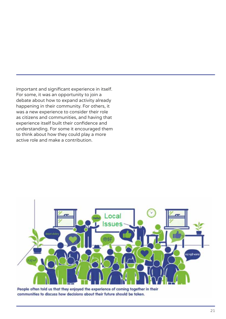important and significant experience in itself. For some, it was an opportunity to join a debate about how to expand activity already happening in their community. For others, it was a new experience to consider their role as citizens and communities, and having that experience itself built their confidence and understanding. For some it encouraged them to think about how they could play a more active role and make a contribution.



People often told us that they enjoyed the experience of coming together in their communities to discuss how decisions about their future should be taken.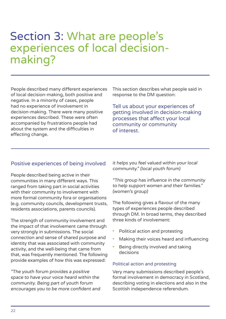# Section 3: What are people's experiences of local decisionmaking?

People described many different experiences of local decision-making, both positive and negative. In a minority of cases, people had no experience of involvement in decision-making. There were many positive experiences described. These were often accompanied by frustrations people had about the system and the difficulties in effecting change.

This section describes what people said in response to the DM question:

Tell us about your experiences of getting involved in decision-making processes that affect your local community or community of interest.

#### Positive experiences of being involved

People described being active in their communities in many different ways. This ranged from taking part in social activities with their community to involvement with more formal community fora or organisations (e.g. community councils, development trusts, residents associations, parents councils).

The strength of community involvement and the impact of that involvement came through very strongly in submissions. The social connection and sense of shared purpose and identity that was associated with community activity, and the well-being that came from that, was frequently mentioned. The following provide examples of how this was expressed:

"The youth forum provides a positive space to have your voice heard within the community. Being part of youth forum encourages you to be more confident and it helps you feel valued within your local community." (local youth forum)

"This group has influence in the community to help support women and their families." (women's group)

The following gives a flavour of the many types of experiences people described through DM. In broad terms, they described three kinds of involvement:

- Political action and protesting
- Making their voices heard and influencing
- Being directly involved and taking decisions

#### Political action and protesting

Very many submissions described people's formal involvement in democracy in Scotland, describing voting in elections and also in the Scottish independence referendum.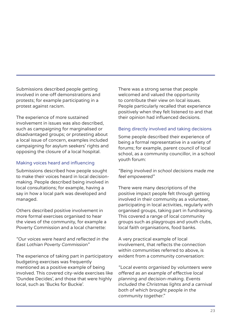Submissions described people getting involved in one-off demonstrations and protests; for example participating in a protest against racism.

The experience of more sustained involvement in issues was also described, such as campaigning for marginalised or disadvantaged groups; or protesting about a local issue of concern, examples included campaigning for asylum seekers' rights and opposing the closure of a local hospital.

#### Making voices heard and influencing

Submissions described how people sought to make their voices heard in local decisionmaking. People described being involved in local consultations; for example, having a say in how a local park was developed and managed.

Others described positive involvement in more formal exercises organised to hear the views of the community, for example a Poverty Commission and a local charrette:

"Our voices were heard and reflected in the East Lothian Poverty Commission"

The experience of taking part in participatory budgeting exercises was frequently mentioned as a positive example of being involved. This covered city-wide exercises like 'Dundee Decides', and those that were highly local, such as 'Bucks for Buckie'.

There was a strong sense that people welcomed and valued the opportunity to contribute their view on local issues. People particularly recalled that experience positively when they felt listened to and that their opinion had influenced decisions.

#### Being directly involved and taking decisions

Some people described their experience of being a formal representative in a variety of forums; for example, parent council of local school, as a community councillor, in a school youth forum:

#### "Being involved in school decisions made me feel empowered"

There were many descriptions of the positive impact people felt through getting involved in their community as a volunteer, participating in local activities, regularly with organised groups, taking part in fundraising. This covered a range of local community groups such as playgroups and youth clubs, local faith organisations, food banks.

A very practical example of local involvement, that reflects the connection within communities referred to above, is evident from a community conversation:

"Local events organised by volunteers were offered as an example of effective local planning and decision-making. Events included the Christmas lights and a carnival both of which brought people in the community together."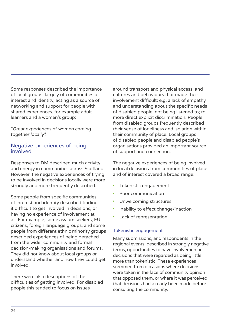Some responses described the importance of local groups, largely of communities of interest and identity, acting as a source of networking and support for people with shared experiences, for example adult learners and a women's group:

"Great experiences of women coming together locally".

#### Negative experiences of being involved

Responses to DM described much activity and energy in communities across Scotland. However, the negative experiences of trying to be involved in decisions locally were more strongly and more frequently described.

Some people from specific communities of interest and identity described finding it difficult to get involved in decisions, or having no experience of involvement at all. For example, some asylum seekers, EU citizens, foreign language groups, and some people from different ethnic minority groups described experiences of being detached from the wider community and formal decision-making organisations and forums. They did not know about local groups or understand whether and how they could get involved.

There were also descriptions of the difficulties of getting involved. For disabled people this tended to focus on issues

around transport and physical access, and cultures and behaviours that made their involvement difficult: e.g. a lack of empathy and understanding about the specific needs of disabled people, not being listened to; to more direct explicit discrimination. People from disabled groups frequently described their sense of loneliness and isolation within their community of place. Local groups of disabled people and disabled people's organisations provided an important source of support and connection.

The negative experiences of being involved in local decisions from communities of place and of interest covered a broad range:

- Tokenistic engagement
- Poor communication
- Unwelcoming structures
- Inability to effect change/inaction
- Lack of representation

#### Tokenistic engagement

Many submissions, and respondents in the regional events, described in strongly negative terms, opportunities to have involvement in decisions that were regarded as being little more than tokenistic. These experiences stemmed from occasions where decisions were taken in the face of community opinion that opposed them, or where it was perceived that decisions had already been made before consulting the community.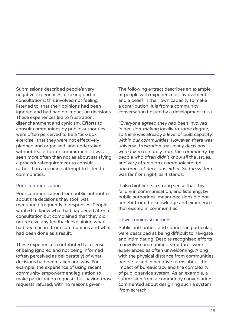Submissions described people's very negative experiences of taking part in consultations: this involved not feeling listened to, that their opinions had been ignored and had had no impact on decisions. These experiences led to frustration, disenchantment and cynicism. Efforts to consult communities by public authorities were often perceived to be a 'tick-box exercise'; that they were not effectively planned and organised, and undertaken without real effort or commitment. It was seen more often than not as about satisfying a procedural requirement to consult rather than a genuine attempt to listen to communities.

#### Poor communication

Poor communication from public authorities about the decisions they took was mentioned frequently in responses. People wanted to know what had happened after a consultation but complained that they did not receive any feedback explaining what had been heard from communities and what had been done as a result.

These experiences contributed to a sense of being ignored and not being informed (often perceived as deliberately) of what decisions had been taken and why. For example, the experience of using recent community empowerment legislation to make participation requests but having those requests refused, with no reasons given.

The following extract describes an example of people with experience of involvement and a belief in their own capacity to make a contribution. It is from a community conversation hosted by a development trust:

"Everyone agreed they had been involved in decision-making locally to some degree, so there was already a level of built capacity within our communities. However, there was universal frustration that many decisions were taken remotely from the community, by people who often didn't know all the issues, and very often didn't communicate the outcomes of decisions either. So the system was far from right, as it stands."

It also highlights a strong sense that this failure in communication, and listening, by public authorities, meant decisions did not benefit from the knowledge and experience that existed in communities.

#### Unwelcoming structures

Public authorities, and councils in particular, were described as being difficult to navigate and intimidating. Despite recognised efforts to involve communities, structures were experienced as often unwelcoming. Along with the physical distance from communities, people talked in negative terms about the impact of bureaucracy and the complexity of public service system. As an example, a submission from a community conversation commented about designing such a system 'from scratch':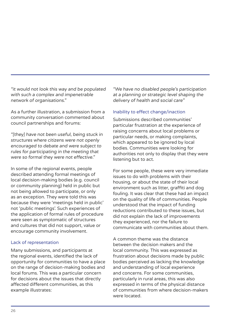"it would not look this way and be populated with such a complex and impenetrable network of organisations."

As a further illustration, a submission from a community conversation commented about council partnerships and forums:

"[they] have not been useful, being stuck in structures where citizens were not openly encouraged to debate and were subject to rules for participating in the meeting that were so formal they were not effective."

In some of the regional events, people described attending formal meetings of local decision-making bodies (e.g. council or community planning) held in public but not being allowed to participate, or only as an exception. They were told this was because they were 'meetings held in public' not 'public meetings'. Such experiences of the application of formal rules of procedure were seen as symptomatic of structures and cultures that did not support, value or encourage community involvement.

#### Lack of representation

Many submissions, and participants at the regional events, identified the lack of opportunity for communities to have a place on the range of decision-making bodies and local forums. This was a particular concern for decisions about the issues that directly affected different communities, as this example illustrates:

"We have no disabled people's participation at a planning or strategic level shaping the delivery of health and social care"

#### Inability to effect change/inaction

Submissions described communities' particular frustration at the experience of raising concerns about local problems or particular needs, or making complaints, which appeared to be ignored by local bodies. Communities were looking for authorities not only to display that they were listening but to act.

For some people, these were very immediate issues to do with problems with their housing, or about the state of their local environment such as litter, graffiti and dog fouling. It was clear that these had an impact on the quality of life of communities. People understood that the impact of funding reductions contributed to these issues, but did not explain the lack of improvements they experienced, nor the failure to communicate with communities about them.

A common theme was the distance between the decision makers and the local community. This was expressed as frustration about decisions made by public bodies perceived as lacking the knowledge and understanding of local experience and concerns. For some communities, particularly in rural areas, this was also expressed in terms of the physical distance of communities from where decision-makers were located.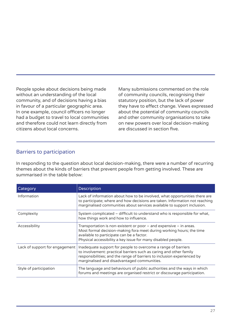People spoke about decisions being made without an understanding of the local community, and of decisions having a bias in favour of a particular geographic area. In one example, council officers no longer had a budget to travel to local communities and therefore could not learn directly from citizens about local concerns.

Many submissions commented on the role of community councils, recognising their statutory position, but the lack of power they have to effect change. Views expressed about the potential of community councils and other community organisations to take on new powers over local decision-making are discussed in section five.

#### Barriers to participation

In responding to the question about local decision-making, there were a number of recurring themes about the kinds of barriers that prevent people from getting involved. These are summarised in the table below:

| Category                       | Description                                                                                                                                                                                                                                                   |
|--------------------------------|---------------------------------------------------------------------------------------------------------------------------------------------------------------------------------------------------------------------------------------------------------------|
| Information                    | Lack of information about how to be involved, what opportunities there are<br>to participate; where and how decisions are taken. Information not reaching<br>marginalised communities about services available to support inclusion.                          |
| Complexity                     | System complicated – difficult to understand who is responsible for what,<br>how things work and how to influence.                                                                                                                                            |
| Accessibility                  | Transportation is non-existent or poor $-$ and expensive $-$ in areas.<br>Most formal decision-making fora meet during working hours; the time<br>available to participate can be a factor.<br>Physical accessibility a key issue for many disabled people.   |
| Lack of support for engagement | Inadequate support for people to overcome a range of barriers<br>to involvement: practical barriers such as caring and other family<br>responsibilities; and the range of barriers to inclusion experienced by<br>marginalised and disadvantaged communities. |
| Style of participation         | The language and behaviours of public authorities and the ways in which<br>forums and meetings are organised restrict or discourage participation.                                                                                                            |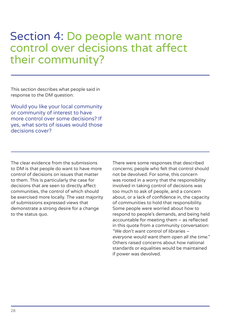# Section 4: Do people want more control over decisions that affect their community?

This section describes what people said in response to the DM question:

Would you like your local community or community of interest to have more control over some decisions? If yes, what sorts of issues would those decisions cover?

The clear evidence from the submissions to DM is that people do want to have more control of decisions on issues that matter to them. This is particularly the case for decisions that are seen to directly affect communities, the control of which should be exercised more locally. The vast majority of submissions expressed views that demonstrate a strong desire for a change to the status quo.

There were some responses that described concerns; people who felt that control should not be devolved. For some, this concern was rooted in a worry that the responsibility involved in taking control of decisions was too much to ask of people, and a concern about, or a lack of confidence in, the capacity of communities to hold that responsibility. Some people were worried about how to respond to people's demands, and being held accountable for meeting them – as reflected in this quote from a community conversation: "We don't want control of libraries – everyone would want them open all the time." Others raised concerns about how national standards or equalities would be maintained if power was devolved.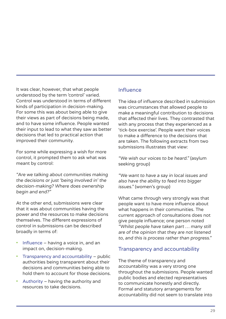It was clear, however, that what people understood by the term 'control' varied. Control was understood in terms of different kinds of participation in decision-making. For some this was about being able to give their views as part of decisions being made, and to have some influence. People wanted their input to lead to what they saw as better decisions that led to practical action that improved their community.

For some while expressing a wish for more control, it prompted them to ask what was meant by control:

"Are we talking about communities making the decisions or just 'being involved in' the decision-making? Where does ownership begin and end?"

At the other end, submissions were clear that it was about communities having the power and the resources to make decisions themselves. The different expressions of control in submissions can be described broadly in terms of:

- Influence having a voice in, and an impact on, decision-making.
- Transparency and accountability public authorities being transparent about their decisions and communities being able to hold them to account for those decisions.
- Authority having the authority and resources to take decisions.

#### Influence

The idea of influence described in submission was circumstances that allowed people to make a meaningful contribution to decisions that affected their lives. They contrasted that with any process that they experienced as a 'tick-box exercise'. People want their voices to make a difference to the decisions that are taken. The following extracts from two submissions illustrates that view:

"We wish our voices to be heard." (asylum seeking group)

"We want to have a say in local issues and also have the ability to feed into bigger issues." (women's group)

What came through very strongly was that people want to have more influence about what happens in their communities. The current approach of consultations does not give people influence; one person noted "Whilst people have taken part … many still are of the opinion that they are not listened to, and this is process rather than progress."

#### Transparency and accountability

The theme of transparency and accountability was a very strong one throughout the submissions. People wanted public bodies and elected representatives to communicate honestly and directly. Formal and statutory arrangements for accountability did not seem to translate into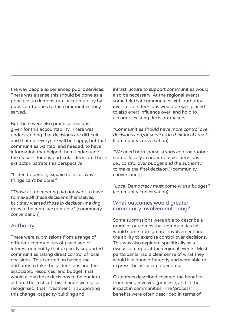the way people experienced public services. There was a sense this should be done as a principle, to demonstrate accountability by public authorities to the communities they served.

But there were also practical reasons given for this accountability. There was understanding that decisions are difficult and that not everyone will be happy, but that communities wanted, and needed, to have information that helped them understand the reasons for any particular decision. These extracts illustrate this perspective:

"Listen to people, explain to locals why things can't be done."

"Those at the meeting did not want to have to make all these decisions themselves, but they wanted those in decision-making roles to be more accountable." (community conversation)

#### Authority

There were submissions from a range of different communities of place and of interest or identity that explicitly supported communities taking direct control of local decisions. This centred on having the authority to take those decisions and the associated resources, and budget, that would allow those decisions to be put into action. The costs of this change were also recognised: that investment in supporting this change, capacity-building and

infrastructure to support communities would also be necessary. At the regional events, some felt that communities with authority over certain decisions would be well placed to also exert influence over, and hold to account, existing decision-makers.

"Communities should have more control over decisions and/or services in their local area." (community conversation)

"We need both 'purse strings and the rubber stamp' locally in order to make decisions – i.e., control over budget and the authority to make the final decision." (community conversation)

"Local Democracy must come with a budget." (community conversation)

#### What outcomes would greater community involvement bring?

Some submissions were able to describe a range of outcomes that communities felt would come from greater involvement and the ability to exercise control over decisions. This was also explored specifically as a discussion topic at the regional events. Most participants had a clear sense of what they would like done differently and were able to express the associated benefits.

Outcomes described covered the benefits from being involved (process), and in the impact in communities. The 'process' benefits were often described in terms of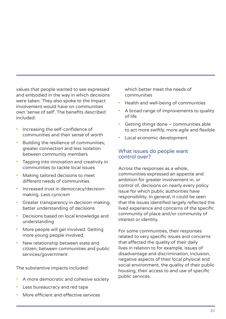values that people wanted to see expressed and embodied in the way in which decisions were taken. They also spoke to the impact involvement would have on communities own 'sense of self'. The benefits described included:

- Increasing the self-confidence of communities and their sense of worth
- Building the resilience of communities; greater connection and less isolation between community members
- Tapping into innovation and creativity in communities to tackle local issues
- Making tailored decisions to meet different needs of communities
- Increased trust in democracy/decisionmaking. Less cynicism
- Greater transparency in decision-making, better understanding of decisions
- Decisions based on local knowledge and understanding
- More people will get involved. Getting more young people involved.
- New relationship between state and citizen; between communities and public services/government

The substantive impacts included:

- A more democratic and cohesive society
- Less bureaucracy and red tape
- More efficient and effective services

which better meet the needs of communities

- Health and well-being of communities
- A broad range of improvements to quality of life
- Getting things done communities able to act more swiftly, more agile and flexible
- Local economic development

#### What issues do people want control over?

Across the responses as a whole, communities expressed an appetite and ambition for greater involvement in, or control of, decisions on nearly every policy issue for which public authorities have responsibility. In general, it could be seen that the issues identified largely reflected the lived experience and concerns of the specific community of place and/or community of interest or identity.

For some communities, their responses related to very specific issues and concerns that affected the quality of their daily lives in relation to for example, issues of disadvantage and discrimination, inclusion, negative aspects of their local physical and social environment, the quality of their public housing, their access to and use of specific public services.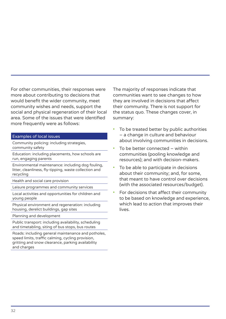For other communities, their responses were more about contributing to decisions that would benefit the wider community, meet community wishes and needs, support the social and physical regeneration of their local area. Some of the issues that were identified more frequently were as follows:

#### Examples of local issues

Community policing: including strategies, community safety

Education: including placements, how schools are run, engaging parents

Environmental maintenance: including dog fouling, litter, cleanliness, fly-tipping, waste collection and recycling

Health and social care provision

Leisure programmes and community services

Local activities and opportunities for children and young people

Physical environment and regeneration: including housing, derelict buildings, gap sites

Planning and development

Public transport: including availability, scheduling and timetabling, siting of bus stops, bus routes

Roads: including general maintenance and potholes, speed limits, traffic calming, cycling provision, gritting and snow clearance, parking availability and charges

The majority of responses indicate that communities want to see changes to how they are involved in decisions that affect their community. There is not support for the status quo. These changes cover, in summary:

- To be treated better by public authorities – a change in culture and behaviour about involving communities in decisions.
- To be better connected within communities (pooling knowledge and resources); and with decision-makers.
- To be able to participate in decisions about their community; and, for some, that meant to have control over decisions (with the associated resources/budget).
- For decisions that affect their community to be based on knowledge and experience, which lead to action that improves their lives.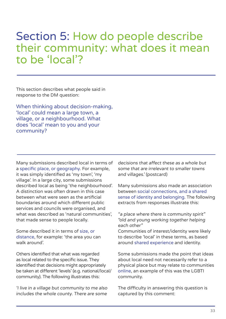# Section 5: How do people describe their community: what does it mean to be 'local'?

This section describes what people said in response to the DM question:

When thinking about decision-making, 'local' could mean a large town, a village, or a neighbourhood. What does 'local' mean to you and your community?

Many submissions described local in terms of a specific place, or geography. For example, it was simply identified as 'my town', 'my village'. In a large city, some submissions described local as being 'the neighbourhood'. A distinction was often drawn in this case between what were seen as the artificial boundaries around which different public services and councils were organised, and what was described as 'natural communities' that made sense to people locally.

Some described it in terms of size, or distance, for example: 'the area you can walk around'.

Others identified that what was regarded as local related to the specific issue. They identified that decisions might appropriately be taken at different 'levels' (e.g. national/local/ community). The following illustrates this:

'I live in a village but community to me also includes the whole county. There are some

decisions that affect these as a whole but some that are irrelevant to smaller towns and villages.' (postcard)

Many submissions also made an association between social connections, and a shared sense of identity and belonging. The following extracts from responses illustrate this:

"a place where there is community spirit" "old and young working together helping each other"

Communities of interest/identity were likely to describe 'local' in these terms, as based around shared experience and identity.

Some submissions made the point that ideas about local need not necessarily refer to a physical place but may relate to communities online, an example of this was the LGBTI community.

The difficulty in answering this question is captured by this comment: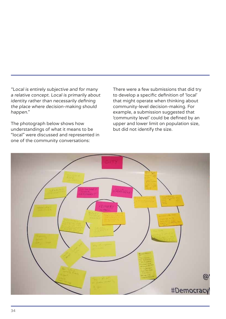"Local is entirely subjective and for many a relative concept. Local is primarily about identity rather than necessarily defining the place where decision-making should happen."

The photograph below shows how understandings of what it means to be "local" were discussed and represented in one of the community conversations:

There were a few submissions that did try to develop a specific definition of 'local' that might operate when thinking about community-level decision-making. For example, a submission suggested that 'community level' could be defined by an upper and lower limit on population size, but did not identify the size.

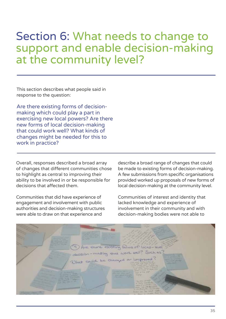## Section 6: What needs to change to support and enable decision-making at the community level?

This section describes what people said in response to the question:

Are there existing forms of decisionmaking which could play a part in exercising new local powers? Are there new forms of local decision-making that could work well? What kinds of changes might be needed for this to work in practice?

Overall, responses described a broad array of changes that different communities chose to highlight as central to improving their ability to be involved in or be responsible for decisions that affected them.

Communities that did have experience of engagement and involvement with public authorities and decision-making structures were able to draw on that experience and

describe a broad range of changes that could be made to existing forms of decision-making. A few submissions from specific organisations provided worked up proposals of new forms of local decision-making at the community level.

Communities of interest and identity that lacked knowledge and experience of involvement in their community and with decision-making bodies were not able to

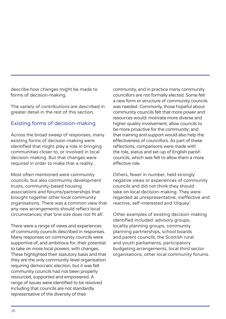describe how changes might be made to forms of decision-making.

The variety of contributions are described in greater detail in the rest of this section.

#### Existing forms of decision-making

Across the broad sweep of responses, many existing forms of decision-making were identified that might play a role in bringing communities closer to, or involved in local decision-making. But that changes were required in order to make that a reality.

Most often mentioned were community councils, but also community development trusts, community-based housing associations and forums/partnerships that brought together other local community organisations. There was a common view that any new arrangements should reflect local circumstances; that 'one size does not fit all'.

There were a range of views and experiences of community councils described in responses. Many responses on community councils were supportive of, and ambitious for, their potential to take on more local powers, with changes. These highlighted their statutory basis and that they are the only community-level organisation requiring democratic election, but it was felt community councils had not been properly resourced, supported and empowered. A range of issues were identified to be resolved including that councils are not standardly representative of the diversity of their

community, and in practice many community councillors are not formally elected. Some felt a new form or structure of community councils was needed. Commonly, those hopeful about community councils felt that more power and resources would: motivate more diverse and higher quality involvement; allow councils to be more proactive for the community; and that training and support would also help the effectiveness of councillors. As part of these reflections, comparisons were made with the role, status and set-up of English parish councils, which was felt to allow them a more effective role.

Others, fewer in number, held strongly negative views or experiences of community councils and did not think they should take on local decision-making. They were regarded as unrepresentative, ineffective and reactive, self-interested and 'cliquey'.

Other examples of existing decision-making identified included: advisory groups, locality planning groups, community planning partnerships, school boards and parent councils, the Scottish rural and youth parliaments, participatory budgeting arrangements, local third sector organisations, other local community forums.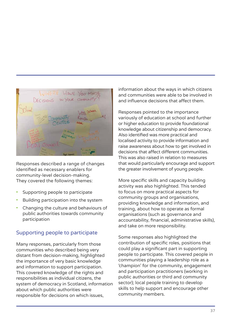

Responses described a range of changes identified as necessary enablers for community-level decision-making. They covered the following themes:

- Supporting people to participate
- Building participation into the system
- Changing the culture and behaviours of public authorities towards community participation

#### Supporting people to participate

Many responses, particularly from those communities who described being very distant from decision-making, highlighted the importance of very basic knowledge and information to support participation. This covered knowledge of the rights and responsibilities as individual citizens, the system of democracy in Scotland, information about which public authorities were responsible for decisions on which issues,

information about the ways in which citizens and communities were able to be involved in and influence decisions that affect them.

Responses pointed to the importance variously of education at school and further or higher education to provide foundational knowledge about citizenship and democracy. Also identified was more practical and localised activity to provide information and raise awareness about how to get involved in decisions that affect different communities. This was also raised in relation to measures that would particularly encourage and support the greater involvement of young people.

More specific skills and capacity building activity was also highlighted. This tended to focus on more practical aspects for community groups and organisations, providing knowledge and information, and training, about how to operate as formal organisations (such as governance and accountability, financial, administrative skills), and take on more responsibility.

Some responses also highlighted the contribution of specific roles, positions that could play a significant part in supporting people to participate. This covered people in communities playing a leadership role as a 'champion' for the community, engagement and participation practitioners (working in public authorities or third and community sector); local people training to develop skills to help support and encourage other community members.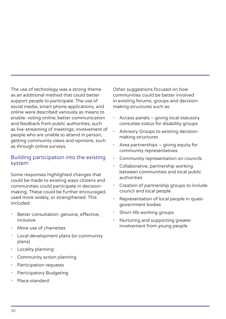The use of technology was a strong theme as an additional method that could better support people to participate. The use of social media, smart phone applications, and online were described variously as means to enable: voting online; better communication and feedback from public authorities, such as live-streaming of meetings; involvement of people who are unable to attend in person, getting community views and opinions, such as through online surveys.

#### Building participation into the existing system

Some responses highlighted changes that could be made to existing ways citizens and communities could participate in decisionmaking. These could be further encouraged, used more widely, or strengthened. This included:

- Better consultation: genuine, effective, inclusive
- More use of charrettes
- Local development plans (or community plans)
- Locality planning
- Community action planning
- Participation requests
- Participatory Budgeting
- Place standard

Other suggestions focused on how communities could be better involved in existing forums, groups and decisionmaking structures such as:

- Access panels giving local statutory consultee status for disability groups
- Advisory Groups to existing decisionmaking structures
- Area partnerships giving equity for community representatives
- Community representation on councils
- Collaborative, partnership working between communities and local public authorities
- Creation of partnership groups to include council and local people
- Representation of local people in quasigovernment bodies
- Short-life working groups
- Nurturing and supporting greater involvement from young people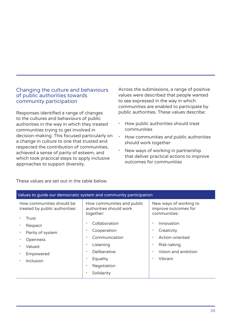#### Changing the culture and behaviours of public authorities towards community participation

Responses identified a range of changes to the cultures and behaviours of public authorities in the way in which they treated communities trying to get involved in decision-making. This focused particularly on a change in culture to one that trusted and respected the contribution of communities, achieved a sense of parity of esteem, and which took practical steps to apply inclusive approaches to support diversity.

Across the submissions, a range of positive values were described that people wanted to see expressed in the way in which communities are enabled to participate by public authorities. These values describe:

- How public authorities should treat communities
- How communities and public authorities should work together
- New ways of working in partnership that deliver practical actions to improve outcomes for communities

| Values to guide our democratic system and community participation                                            |                                                                                                                                               |                                                                                                            |  |  |  |  |
|--------------------------------------------------------------------------------------------------------------|-----------------------------------------------------------------------------------------------------------------------------------------------|------------------------------------------------------------------------------------------------------------|--|--|--|--|
| How communities should be<br>treated by public authorities:<br>Trust                                         | How communities and public<br>authorities should work<br>together:<br>Collaboration<br>٠                                                      | New ways of working to<br>improve outcomes for<br>communities:<br>Innovation<br>٠                          |  |  |  |  |
| Respect<br>٠<br>Parity of system<br>۰<br>Openness<br>Valued<br>٠<br>Empowered<br>٠<br>Inclusion<br>$\bullet$ | Cooperation<br>۰<br>Communication<br>٠<br>Listening<br>٠<br>Deliberative<br>٠<br>Equality<br>۰<br>Negotiation<br>٠<br>Solidarity<br>$\bullet$ | Creativity<br>٠<br>Action-oriented<br>Risk-taking<br>٠<br>Vision and ambition<br>٠<br>Vibrant<br>$\bullet$ |  |  |  |  |

These values are set out in the table below.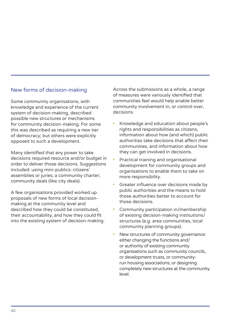#### New forms of decision-making

Some community organisations, with knowledge and experience of the current system of decision-making, described possible new structures or mechanisms for community decision-making. For some this was described as requiring a new tier of democracy; but others were explicitly opposed to such a development.

Many identified that any power to take decisions required resource and/or budget in order to deliver those decisions. Suggestions included: using mini-publics: citizens' assemblies or juries; a community charter; community deals (like city deals).

A few organisations provided worked up proposals of new forms of local decisionmaking at the community level and described how they could be constituted, their accountability, and how they could fit into the existing system of decision-making. Across the submissions as a whole, a range of measures were variously identified that communities feel would help enable better community involvement in, or control over, decisions.

- Knowledge and education about people's rights and responsibilities as citizens, information about how (and which) public authorities take decisions that affect their communities, and information about how they can get involved in decisions.
- Practical training and organisational development for community groups and organisations to enable them to take on more responsibility.
- Greater influence over decisions made by public authorities and the means to hold those authorities better to account for those decisions.
- Community participation in/membership of existing decision-making institutions/ structures (e.g. area communities, local community planning groups).
- New structures of community governance: either changing the functions and/ or authority of existing community organisations such as community councils, or development trusts, or communityrun housing associations; or designing completely new structures at the community level.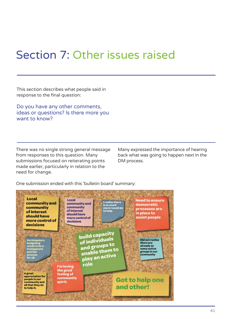# Section 7: Other issues raised

This section describes what people said in response to the final question:

Do you have any other comments, ideas or questions? Is there more you want to know?

There was no single strong general message from responses to this question. Many submissions focused on reiterating points made earlier, particularly in relation to the need for change.

Many expressed the importance of hearing back what was going to happen next in the DM process.

One submission ended with this 'bulletin board' summary:

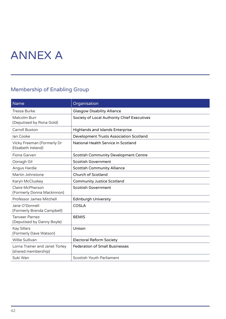# ANNEX A

#### Membership of Enabling Group

| <b>Name</b>                                           | Organisation                                   |
|-------------------------------------------------------|------------------------------------------------|
| <b>Tressa Burke</b>                                   | <b>Glasgow Disability Alliance</b>             |
| Malcolm Burr<br>(Deputised by Rona Gold)              | Society of Local Authority Chief Executives    |
| <b>Carroll Buxton</b>                                 | <b>Highlands and Islands Enterprise</b>        |
| <b>lan Cooke</b>                                      | <b>Development Trusts Association Scotland</b> |
| Vicky Freeman (Formerly Dr<br>Elizabeth Ireland)      | National Health Service in Scotland            |
| Fiona Garven                                          | <b>Scottish Community Development Centre</b>   |
| Oonagh Gil                                            | <b>Scottish Government</b>                     |
| Angus Hardie                                          | <b>Scottish Community Alliance</b>             |
| Martin Johnstone                                      | Church of Scotland                             |
| Karyn McCluskey                                       | <b>Community Justice Scotland</b>              |
| Claire McPherson<br>(Formerly Donna Mackinnon)        | <b>Scottish Government</b>                     |
| Professor James Mitchell                              | <b>Edinburgh University</b>                    |
| Jane O'Donnell<br>(Formerly Brenda Campbell)          | <b>COSLA</b>                                   |
| <b>Tanveer Parnez</b><br>(Deputised by Danny Boyle)   | <b>BEMIS</b>                                   |
| <b>Kay Sillars</b><br>(Formerly Dave Watson)          | Unison                                         |
| Willie Sullivan                                       | <b>Electoral Reform Society</b>                |
| Lorna Trainer and Janet Torley<br>(shared membership) | <b>Federation of Small Businesses</b>          |
| Suki Wan                                              | <b>Scottish Youth Parliament</b>               |